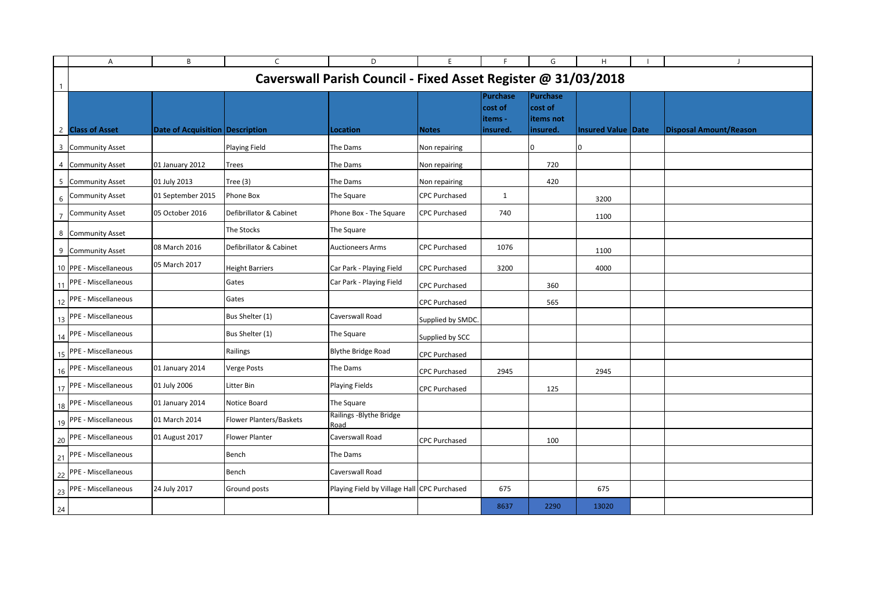|    | A                                                                                                               | B                               | $\mathsf{C}$            | D                                           | E                    | E                                          | G                                             | H                         |  | $\mathbf{J}$                  |
|----|-----------------------------------------------------------------------------------------------------------------|---------------------------------|-------------------------|---------------------------------------------|----------------------|--------------------------------------------|-----------------------------------------------|---------------------------|--|-------------------------------|
|    | Caverswall Parish Council - Fixed Asset Register @ 31/03/2018                                                   |                                 |                         |                                             |                      |                                            |                                               |                           |  |                               |
|    | 2 Class of Asset                                                                                                | Date of Acquisition Description |                         | Location                                    | <b>Notes</b>         | Purchase<br>cost of<br>items -<br>insured. | Purchase<br>cost of<br>litems not<br>insured. | <b>Insured Value Date</b> |  | <b>Disposal Amount/Reason</b> |
|    | 3 Community Asset                                                                                               |                                 | <b>Playing Field</b>    | The Dams                                    | Non repairing        |                                            | 10                                            |                           |  |                               |
|    | 4 Community Asset                                                                                               | 01 January 2012                 | Trees                   | The Dams                                    | Non repairing        |                                            | 720                                           |                           |  |                               |
|    | 5 Community Asset                                                                                               | 01 July 2013                    | Tree $(3)$              | The Dams                                    | Non repairing        |                                            | 420                                           |                           |  |                               |
| 6  | <b>Community Asset</b>                                                                                          | 01 September 2015               | Phone Box               | The Square                                  | <b>CPC Purchased</b> | $\mathbf{1}$                               |                                               | 3200                      |  |                               |
|    | <b>Community Asset</b>                                                                                          | 05 October 2016                 | Defibrillator & Cabinet | Phone Box - The Square                      | <b>CPC Purchased</b> | 740                                        |                                               | 1100                      |  |                               |
| 8  | <b>Community Asset</b>                                                                                          |                                 | The Stocks              | The Square                                  |                      |                                            |                                               |                           |  |                               |
|    | 9 Community Asset                                                                                               | 08 March 2016                   | Defibrillator & Cabinet | <b>Auctioneers Arms</b>                     | <b>CPC Purchased</b> | 1076                                       |                                               | 1100                      |  |                               |
|    | 10 PPE - Miscellaneous                                                                                          | 05 March 2017                   | <b>Height Barriers</b>  | Car Park - Playing Field                    | <b>CPC Purchased</b> | 3200                                       |                                               | 4000                      |  |                               |
| 11 | PPE - Miscellaneous                                                                                             |                                 | Gates                   | Car Park - Playing Field                    | <b>CPC Purchased</b> |                                            | 360                                           |                           |  |                               |
|    | 12 PPE - Miscellaneous                                                                                          |                                 | Gates                   |                                             | <b>CPC Purchased</b> |                                            | 565                                           |                           |  |                               |
|    | 13 PPE - Miscellaneous                                                                                          |                                 | Bus Shelter (1)         | Caverswall Road                             | Supplied by SMDC.    |                                            |                                               |                           |  |                               |
| 14 | PPE - Miscellaneous                                                                                             |                                 | Bus Shelter (1)         | The Square                                  | Supplied by SCC      |                                            |                                               |                           |  |                               |
|    | 15 PPE - Miscellaneous                                                                                          |                                 | Railings                | <b>Blythe Bridge Road</b>                   | <b>CPC Purchased</b> |                                            |                                               |                           |  |                               |
| 16 | PPE - Miscellaneous                                                                                             | 01 January 2014                 | <b>Verge Posts</b>      | The Dams                                    | <b>CPC Purchased</b> | 2945                                       |                                               | 2945                      |  |                               |
|    | 17 PPE - Miscellaneous                                                                                          | 01 July 2006                    | Litter Bin              | <b>Playing Fields</b>                       | <b>CPC Purchased</b> |                                            | 125                                           |                           |  |                               |
|    | 18 PPE - Miscellaneous                                                                                          | 01 January 2014                 | Notice Board            | The Square                                  |                      |                                            |                                               |                           |  |                               |
|    | 19 PPE - Miscellaneous                                                                                          | 01 March 2014                   | Flower Planters/Baskets | Railings - Blythe Bridge<br>Road            |                      |                                            |                                               |                           |  |                               |
|    | 20 PPE - Miscellaneous                                                                                          | 01 August 2017                  | <b>Flower Planter</b>   | Caverswall Road                             | <b>CPC Purchased</b> |                                            | 100                                           |                           |  |                               |
| 21 | PPE - Miscellaneous                                                                                             |                                 | Bench                   | The Dams                                    |                      |                                            |                                               |                           |  |                               |
|    | 22 PPE - Miscellaneous                                                                                          |                                 | Bench                   | Caverswall Road                             |                      |                                            |                                               |                           |  |                               |
|    |                                                                                                                 | 24 July 2017                    | Ground posts            | Playing Field by Village Hall CPC Purchased |                      | 675                                        |                                               | 675                       |  |                               |
|    | $\begin{array}{ c c }\n\hline\n23 & \text{PPE - Miscellaneous} \\ \hline\n24 & \text{I} \\ \hline\n\end{array}$ |                                 |                         |                                             |                      | 8637                                       | 2290                                          | 13020                     |  |                               |